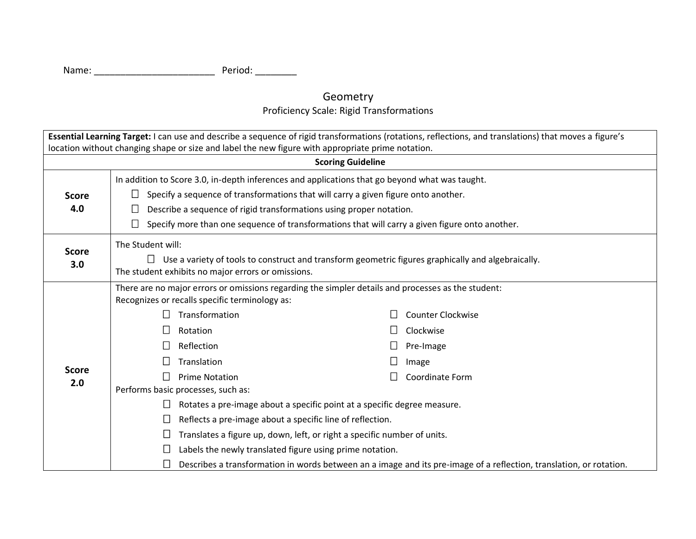| Name:<br>Period: |
|------------------|
|                  |

## Geometry Proficiency Scale: Rigid Transformations

|                     | Essential Learning Target: I can use and describe a sequence of rigid transformations (rotations, reflections, and translations) that moves a figure's |                                                                                                   |                          |                          |  |  |
|---------------------|--------------------------------------------------------------------------------------------------------------------------------------------------------|---------------------------------------------------------------------------------------------------|--------------------------|--------------------------|--|--|
|                     |                                                                                                                                                        | location without changing shape or size and label the new figure with appropriate prime notation. |                          |                          |  |  |
|                     |                                                                                                                                                        |                                                                                                   | <b>Scoring Guideline</b> |                          |  |  |
|                     | In addition to Score 3.0, in-depth inferences and applications that go beyond what was taught.                                                         |                                                                                                   |                          |                          |  |  |
| <b>Score</b>        | Specify a sequence of transformations that will carry a given figure onto another.                                                                     |                                                                                                   |                          |                          |  |  |
| 4.0                 | Describe a sequence of rigid transformations using proper notation.                                                                                    |                                                                                                   |                          |                          |  |  |
|                     | Specify more than one sequence of transformations that will carry a given figure onto another.<br>$\Box$                                               |                                                                                                   |                          |                          |  |  |
| <b>Score</b><br>3.0 | The Student will:                                                                                                                                      |                                                                                                   |                          |                          |  |  |
|                     | Use a variety of tools to construct and transform geometric figures graphically and algebraically.                                                     |                                                                                                   |                          |                          |  |  |
|                     | The student exhibits no major errors or omissions.                                                                                                     |                                                                                                   |                          |                          |  |  |
| <b>Score</b><br>2.0 | There are no major errors or omissions regarding the simpler details and processes as the student:                                                     |                                                                                                   |                          |                          |  |  |
|                     | Recognizes or recalls specific terminology as:                                                                                                         |                                                                                                   |                          |                          |  |  |
|                     |                                                                                                                                                        | Transformation                                                                                    |                          | <b>Counter Clockwise</b> |  |  |
|                     |                                                                                                                                                        | Rotation                                                                                          |                          | Clockwise                |  |  |
|                     |                                                                                                                                                        | Reflection                                                                                        |                          | Pre-Image                |  |  |
|                     |                                                                                                                                                        | Translation                                                                                       |                          | Image                    |  |  |
|                     |                                                                                                                                                        | <b>Prime Notation</b>                                                                             |                          | Coordinate Form          |  |  |
|                     | Performs basic processes, such as:                                                                                                                     |                                                                                                   |                          |                          |  |  |
|                     | Rotates a pre-image about a specific point at a specific degree measure.                                                                               |                                                                                                   |                          |                          |  |  |
|                     | Reflects a pre-image about a specific line of reflection.                                                                                              |                                                                                                   |                          |                          |  |  |
|                     | ⊔                                                                                                                                                      | Translates a figure up, down, left, or right a specific number of units.                          |                          |                          |  |  |
|                     | Labels the newly translated figure using prime notation.                                                                                               |                                                                                                   |                          |                          |  |  |
|                     | Describes a transformation in words between an a image and its pre-image of a reflection, translation, or rotation.                                    |                                                                                                   |                          |                          |  |  |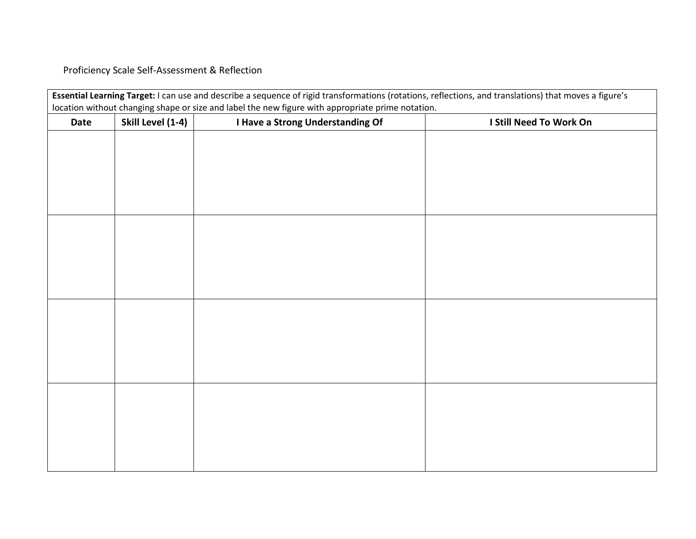## Proficiency Scale Self-Assessment & Reflection

| <b>Date</b> | Skill Level (1-4) | I Have a Strong Understanding Of | I Still Need To Work On |
|-------------|-------------------|----------------------------------|-------------------------|
|             |                   |                                  |                         |
|             |                   |                                  |                         |
|             |                   |                                  |                         |
|             |                   |                                  |                         |
|             |                   |                                  |                         |
|             |                   |                                  |                         |
|             |                   |                                  |                         |
|             |                   |                                  |                         |
|             |                   |                                  |                         |
|             |                   |                                  |                         |
|             |                   |                                  |                         |
|             |                   |                                  |                         |
|             |                   |                                  |                         |
|             |                   |                                  |                         |
|             |                   |                                  |                         |
|             |                   |                                  |                         |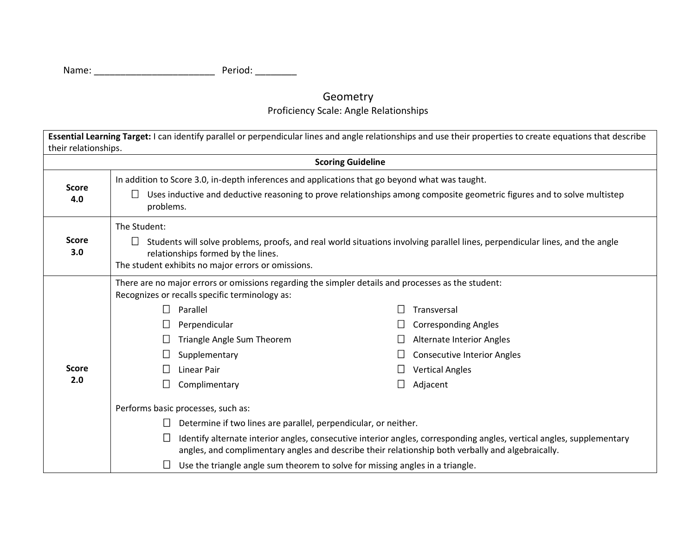| Name: | Period: |
|-------|---------|
|       |         |

## **Geometry** Proficiency Scale: Angle Relationships

**Essential Learning Target:** I can identify parallel or perpendicular lines and angle relationships and use their properties to create equations that describe their relationships.

|                     |                                                                                                                                                                                                                                                  |                                                                                                                                                                                                                                                                                                                                                                                                                                                                                                                                                                 | <b>Scoring Guideline</b> |                                                                                                                                                                                                                                                                                     |
|---------------------|--------------------------------------------------------------------------------------------------------------------------------------------------------------------------------------------------------------------------------------------------|-----------------------------------------------------------------------------------------------------------------------------------------------------------------------------------------------------------------------------------------------------------------------------------------------------------------------------------------------------------------------------------------------------------------------------------------------------------------------------------------------------------------------------------------------------------------|--------------------------|-------------------------------------------------------------------------------------------------------------------------------------------------------------------------------------------------------------------------------------------------------------------------------------|
| <b>Score</b><br>4.0 | In addition to Score 3.0, in-depth inferences and applications that go beyond what was taught.<br>Uses inductive and deductive reasoning to prove relationships among composite geometric figures and to solve multistep<br>$\perp$<br>problems. |                                                                                                                                                                                                                                                                                                                                                                                                                                                                                                                                                                 |                          |                                                                                                                                                                                                                                                                                     |
| <b>Score</b><br>3.0 | The Student:<br>Students will solve problems, proofs, and real world situations involving parallel lines, perpendicular lines, and the angle<br>relationships formed by the lines.<br>The student exhibits no major errors or omissions.         |                                                                                                                                                                                                                                                                                                                                                                                                                                                                                                                                                                 |                          |                                                                                                                                                                                                                                                                                     |
| <b>Score</b><br>2.0 |                                                                                                                                                                                                                                                  | There are no major errors or omissions regarding the simpler details and processes as the student:<br>Recognizes or recalls specific terminology as:<br>Parallel<br>Perpendicular<br>Triangle Angle Sum Theorem<br>Supplementary<br>Linear Pair<br>Complimentary<br>Performs basic processes, such as:<br>Determine if two lines are parallel, perpendicular, or neither.<br>angles, and complimentary angles and describe their relationship both verbally and algebraically.<br>Use the triangle angle sum theorem to solve for missing angles in a triangle. |                          | Transversal<br><b>Corresponding Angles</b><br><b>Alternate Interior Angles</b><br><b>Consecutive Interior Angles</b><br><b>Vertical Angles</b><br>Adjacent<br>Identify alternate interior angles, consecutive interior angles, corresponding angles, vertical angles, supplementary |